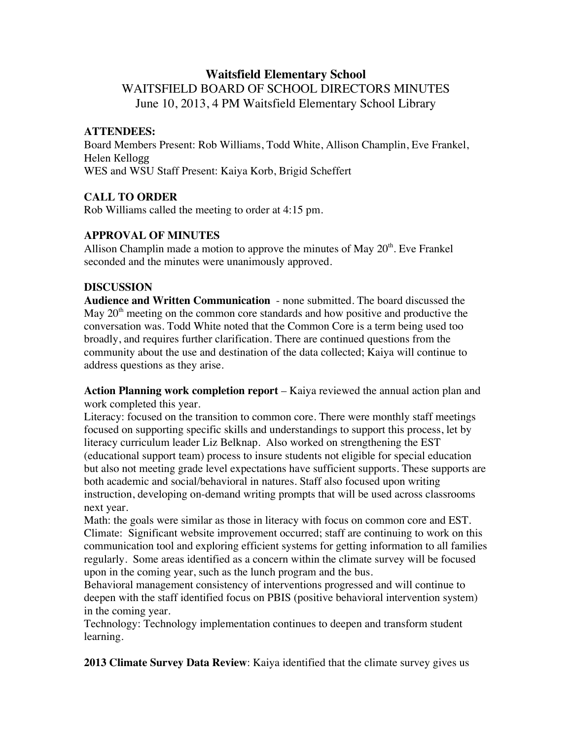# **Waitsfield Elementary School** WAITSFIELD BOARD OF SCHOOL DIRECTORS MINUTES June 10, 2013, 4 PM Waitsfield Elementary School Library

#### **ATTENDEES:**

Board Members Present: Rob Williams, Todd White, Allison Champlin, Eve Frankel, Helen Kellogg WES and WSU Staff Present: Kaiya Korb, Brigid Scheffert

## **CALL TO ORDER**

Rob Williams called the meeting to order at 4:15 pm.

## **APPROVAL OF MINUTES**

Allison Champlin made a motion to approve the minutes of May  $20<sup>th</sup>$ . Eve Frankel seconded and the minutes were unanimously approved.

## **DISCUSSION**

**Audience and Written Communication** - none submitted. The board discussed the May  $20<sup>th</sup>$  meeting on the common core standards and how positive and productive the conversation was. Todd White noted that the Common Core is a term being used too broadly, and requires further clarification. There are continued questions from the community about the use and destination of the data collected; Kaiya will continue to address questions as they arise.

**Action Planning work completion report** – Kaiya reviewed the annual action plan and work completed this year.

Literacy: focused on the transition to common core. There were monthly staff meetings focused on supporting specific skills and understandings to support this process, let by literacy curriculum leader Liz Belknap. Also worked on strengthening the EST (educational support team) process to insure students not eligible for special education but also not meeting grade level expectations have sufficient supports. These supports are both academic and social/behavioral in natures. Staff also focused upon writing instruction, developing on-demand writing prompts that will be used across classrooms next year.

Math: the goals were similar as those in literacy with focus on common core and EST. Climate: Significant website improvement occurred; staff are continuing to work on this communication tool and exploring efficient systems for getting information to all families regularly. Some areas identified as a concern within the climate survey will be focused upon in the coming year, such as the lunch program and the bus.

Behavioral management consistency of interventions progressed and will continue to deepen with the staff identified focus on PBIS (positive behavioral intervention system) in the coming year.

Technology: Technology implementation continues to deepen and transform student learning.

**2013 Climate Survey Data Review**: Kaiya identified that the climate survey gives us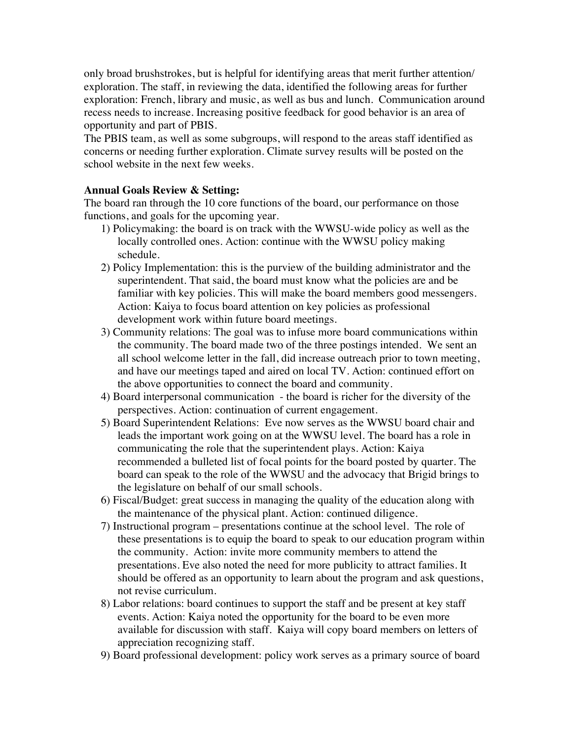only broad brushstrokes, but is helpful for identifying areas that merit further attention/ exploration. The staff, in reviewing the data, identified the following areas for further exploration: French, library and music, as well as bus and lunch. Communication around recess needs to increase. Increasing positive feedback for good behavior is an area of opportunity and part of PBIS.

The PBIS team, as well as some subgroups, will respond to the areas staff identified as concerns or needing further exploration. Climate survey results will be posted on the school website in the next few weeks.

#### **Annual Goals Review & Setting:**

The board ran through the 10 core functions of the board, our performance on those functions, and goals for the upcoming year.

- 1) Policymaking: the board is on track with the WWSU-wide policy as well as the locally controlled ones. Action: continue with the WWSU policy making schedule.
- 2) Policy Implementation: this is the purview of the building administrator and the superintendent. That said, the board must know what the policies are and be familiar with key policies. This will make the board members good messengers. Action: Kaiya to focus board attention on key policies as professional development work within future board meetings.
- 3) Community relations: The goal was to infuse more board communications within the community. The board made two of the three postings intended. We sent an all school welcome letter in the fall, did increase outreach prior to town meeting, and have our meetings taped and aired on local TV. Action: continued effort on the above opportunities to connect the board and community.
- 4) Board interpersonal communication the board is richer for the diversity of the perspectives. Action: continuation of current engagement.
- 5) Board Superintendent Relations: Eve now serves as the WWSU board chair and leads the important work going on at the WWSU level. The board has a role in communicating the role that the superintendent plays. Action: Kaiya recommended a bulleted list of focal points for the board posted by quarter. The board can speak to the role of the WWSU and the advocacy that Brigid brings to the legislature on behalf of our small schools.
- 6) Fiscal/Budget: great success in managing the quality of the education along with the maintenance of the physical plant. Action: continued diligence.
- 7) Instructional program presentations continue at the school level. The role of these presentations is to equip the board to speak to our education program within the community. Action: invite more community members to attend the presentations. Eve also noted the need for more publicity to attract families. It should be offered as an opportunity to learn about the program and ask questions, not revise curriculum.
- 8) Labor relations: board continues to support the staff and be present at key staff events. Action: Kaiya noted the opportunity for the board to be even more available for discussion with staff. Kaiya will copy board members on letters of appreciation recognizing staff.
- 9) Board professional development: policy work serves as a primary source of board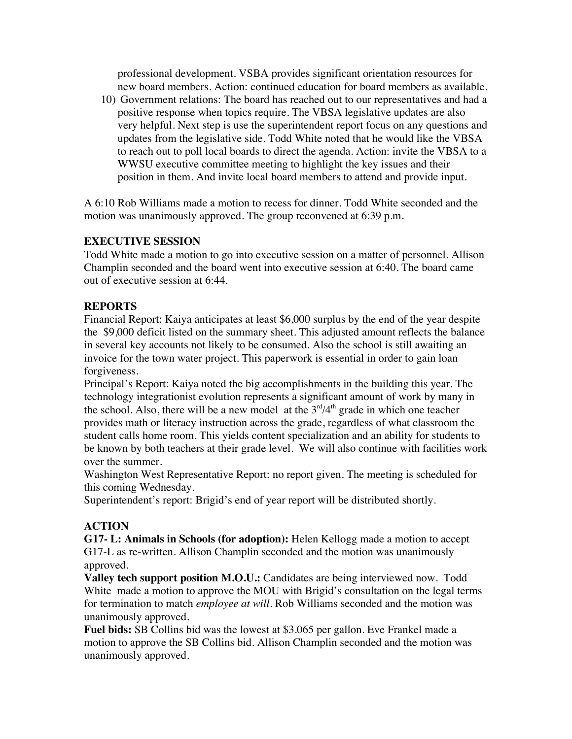professional development. VSBA provides significant orientation resources for new board members. Action: continued education for board members as available.

10) Government relations: The board has reached out to our representatives and had a positive response when topics require. The VBSA legislative updates are also very helpful. Next step is use the superintendent report focus on any questions and updates from the legislative side. Todd White noted that he would like the VBSA to reach out to poll local boards to direct the agenda. Action: invite the VBSA to a WWSU executive committee meeting to highlight the key issues and their position in them. And invite local board members to attend and provide input.

A 6:10 Rob Williams made a motion to recess for dinner. Todd White seconded and the motion was unanimously approved. The group reconvened at 6:39 p.m.

## **EXECUTIVE SESSION**

Todd White made a motion to go into executive session on a matter of personnel. Allison Champlin seconded and the board went into executive session at 6:40. The board came out of executive session at 6:44.

## **REPORTS**

Financial Report: Kaiya anticipates at least \$6,000 surplus by the end of the year despite the \$9,000 deficit listed on the summary sheet. This adjusted amount reflects the balance in several key accounts not likely to be consumed. Also the school is still awaiting an invoice for the town water project. This paperwork is essential in order to gain loan forgiveness.

Principal's Report: Kaiya noted the big accomplishments in the building this year. The technology integrationist evolution represents a significant amount of work by many in the school. Also, there will be a new model at the  $3<sup>rd</sup>/4<sup>th</sup>$  grade in which one teacher provides math or literacy instruction across the grade, regardless of what classroom the student calls home room. This yields content specialization and an ability for students to be known by both teachers at their grade level. We will also continue with facilities work over the summer.

Washington West Representative Report: no report given. The meeting is scheduled for this coming Wednesday.

Superintendent's report: Brigid's end of year report will be distributed shortly.

## **ACTION**

**G17- L: Animals in Schools (for adoption):** Helen Kellogg made a motion to accept G17-L as re-written. Allison Champlin seconded and the motion was unanimously approved.

**Valley tech support position M.O.U.:** Candidates are being interviewed now. Todd White made a motion to approve the MOU with Brigid's consultation on the legal terms for termination to match *employee at will*. Rob Williams seconded and the motion was unanimously approved.

**Fuel bids:** SB Collins bid was the lowest at \$3.065 per gallon. Eve Frankel made a motion to approve the SB Collins bid. Allison Champlin seconded and the motion was unanimously approved.